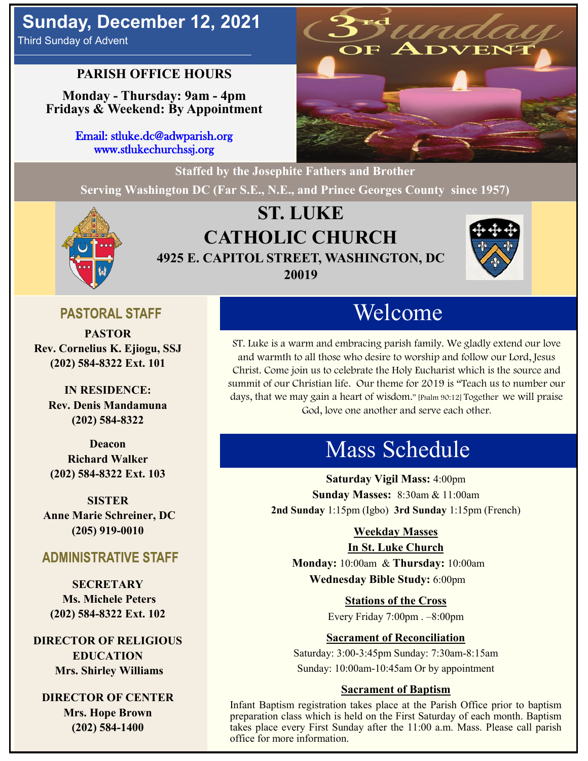## **Sunday, December 12, 2021**

Third Sunday of Advent

### **PARISH OFFICE HOURS**

**Monday - Thursday: 9am - 4pm Fridays & Weekend: By Appointment**

> Email: stluke.dc@adwparish.org www.stlukechurchssj.org



**Staffed by the Josephite Fathers and Brother Serving Washington DC (Far S.E., N.E., and Prince Georges County since 1957)**



## **ST. LUKE CATHOLIC CHURCH 4925 E. CAPITOL STREET, WASHINGTON, DC 20019**



## **PASTORAL STAFF**

**PASTOR Rev. Cornelius K. Ejiogu, SSJ (202) 584-8322 Ext. 101**

**IN RESIDENCE: Rev. Denis Mandamuna (202) 584-8322** 

**Deacon Richard Walker (202) 584-8322 Ext. 103**

**SISTER Anne Marie Schreiner, DC (205) 919-0010**

#### **ADMINISTRATIVE STAFF**

**SECRETARY Ms. Michele Peters (202) 584-8322 Ext. 102**

**DIRECTOR OF RELIGIOUS EDUCATION Mrs. Shirley Williams**

**DIRECTOR OF CENTER Mrs. Hope Brown (202) 584-1400**

# Welcome

ST. Luke is a warm and embracing parish family. We gladly extend our love and warmth to all those who desire to worship and follow our Lord, Jesus Christ. Come join us to celebrate the Holy Eucharist which is the source and summit of our Christian life. Our theme for 2019 is "Teach us to number our days, that we may gain a heart of wisdom." [Psalm 90:12] Together we will praise God, love one another and serve each other.

# Mass Schedule

**Saturday Vigil Mass:** 4:00pm **Sunday Masses:** 8:30am & 11:00am **2nd Sunday** 1:15pm (Igbo) **3rd Sunday** 1:15pm (French)

#### **Weekday Masses**

#### **In St. Luke Church**

**Monday:** 10:00am & **Thursday:** 10:00am **Wednesday Bible Study:** 6:00pm

> **Stations of the Cross** Every Friday 7:00pm . –8:00pm

#### **Sacrament of Reconciliation**

Saturday: 3:00-3:45pm Sunday: 7:30am-8:15am Sunday: 10:00am-10:45am Or by appointment

#### **Sacrament of Baptism**

Infant Baptism registration takes place at the Parish Office prior to baptism preparation class which is held on the First Saturday of each month. Baptism takes place every First Sunday after the 11:00 a.m. Mass. Please call parish office for more information.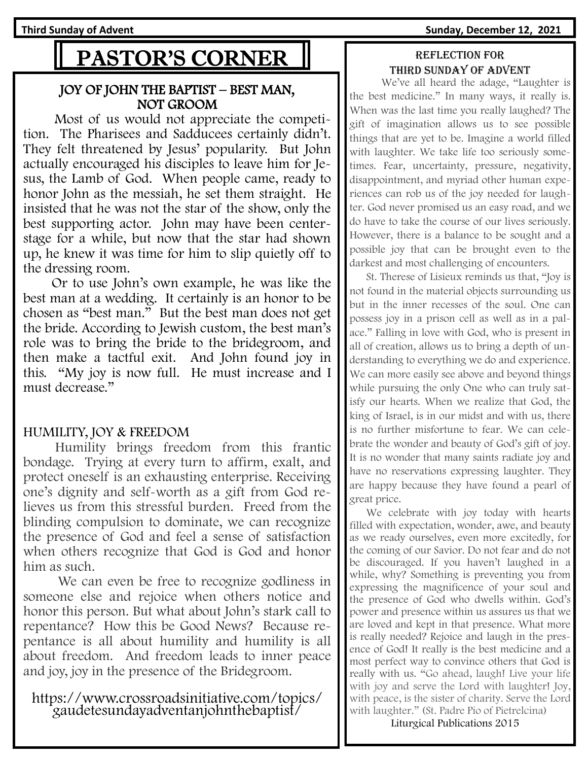**Third Sunday of Advent Sunday, December 12, 2021**

# PASTOR'S CORNER

#### JOY OF JOHN THE BAPTIST – BEST MAN, NOT GROOM

 Most of us would not appreciate the competition. The Pharisees and Sadducees certainly didn't. They felt threatened by Jesus' popularity. But John actually encouraged his disciples to leave him for Jesus, the Lamb of God. When people came, ready to honor John as the messiah, he set them straight. He insisted that he was not the star of the show, only the best supporting actor. John may have been centerstage for a while, but now that the star had shown up, he knew it was time for him to slip quietly off to the dressing room.

 Or to use John's own example, he was like the best man at a wedding. It certainly is an honor to be chosen as "best man." But the best man does not get the bride. According to Jewish custom, the best man's role was to bring the bride to the bridegroom, and then make a tactful exit. And John found joy in this. "My joy is now full. He must increase and I must decrease."

#### HUMILITY, JOY & FREEDOM

 Humility brings freedom from this frantic bondage. Trying at every turn to affirm, exalt, and protect oneself is an exhausting enterprise. Receiving one's dignity and self-worth as a gift from God relieves us from this stressful burden. Freed from the blinding compulsion to dominate, we can recognize the presence of God and feel a sense of satisfaction when others recognize that God is God and honor him as such.

We can even be free to recognize godliness in someone else and rejoice when others notice and honor this person. But what about John's stark call to repentance? How this be Good News? Because repentance is all about humility and humility is all about freedom. And freedom leads to inner peace and joy, joy in the presence of the Bridegroom.

#### [https://www.crossroadsinitiative.com/topics/](https://linkprotect.cudasvc.com/url?a=https%3a%2f%2fwww.crossroadsinitiative.com%2ftopics%2fgaudetesundayadventanjohnthebaptist%2f&c=E,1,iUSNxPaCwdW4ReqY9_EpbcunvIR8w2MCFHuXydc-dmVPBOPsF_UA1enf-WtoQxu3S2A7oj67D6Fk0fxg2D17t_oE_BayUYVDMEBu4zuqM8sE-aDMD6AX6A,,&t) [gaudetesundayadventanjohnthebaptist/](https://linkprotect.cudasvc.com/url?a=https%3a%2f%2fwww.crossroadsinitiative.com%2ftopics%2fgaudetesundayadventanjohnthebaptist%2f&c=E,1,iUSNxPaCwdW4ReqY9_EpbcunvIR8w2MCFHuXydc-dmVPBOPsF_UA1enf-WtoQxu3S2A7oj67D6Fk0fxg2D17t_oE_BayUYVDMEBu4zuqM8sE-aDMD6AX6A,,&t)

#### Reflection for third Sunday of advent

 We've all heard the adage, "Laughter is the best medicine." In many ways, it really is. When was the last time you really laughed? The gift of imagination allows us to see possible things that are yet to be. Imagine a world filled with laughter. We take life too seriously sometimes. Fear, uncertainty, pressure, negativity, disappointment, and myriad other human experiences can rob us of the joy needed for laughter. God never promised us an easy road, and we do have to take the course of our lives seriously. However, there is a balance to be sought and a possible joy that can be brought even to the darkest and most challenging of encounters.

 St. Therese of Lisieux reminds us that, "Joy is not found in the material objects surrounding us but in the inner recesses of the soul. One can possess joy in a prison cell as well as in a palace." Falling in love with God, who is present in all of creation, allows us to bring a depth of understanding to everything we do and experience. We can more easily see above and beyond things while pursuing the only One who can truly satisfy our hearts. When we realize that God, the king of Israel, is in our midst and with us, there is no further misfortune to fear. We can celebrate the wonder and beauty of God's gift of joy. It is no wonder that many saints radiate joy and have no reservations expressing laughter. They are happy because they have found a pearl of great price.

 We celebrate with joy today with hearts filled with expectation, wonder, awe, and beauty as we ready ourselves, even more excitedly, for the coming of our Savior. Do not fear and do not be discouraged. If you haven't laughed in a while, why? Something is preventing you from expressing the magnificence of your soul and the presence of God who dwells within. God's power and presence within us assures us that we are loved and kept in that presence. What more is really needed? Rejoice and laugh in the presence of God! It really is the best medicine and a most perfect way to convince others that God is really with us. "Go ahead, laugh! Live your life with joy and serve the Lord with laughter! Joy, with peace, is the sister of charity. Serve the Lord with laughter." (St. Padre Pio of Pietrelcina)

Liturgical Publications 2015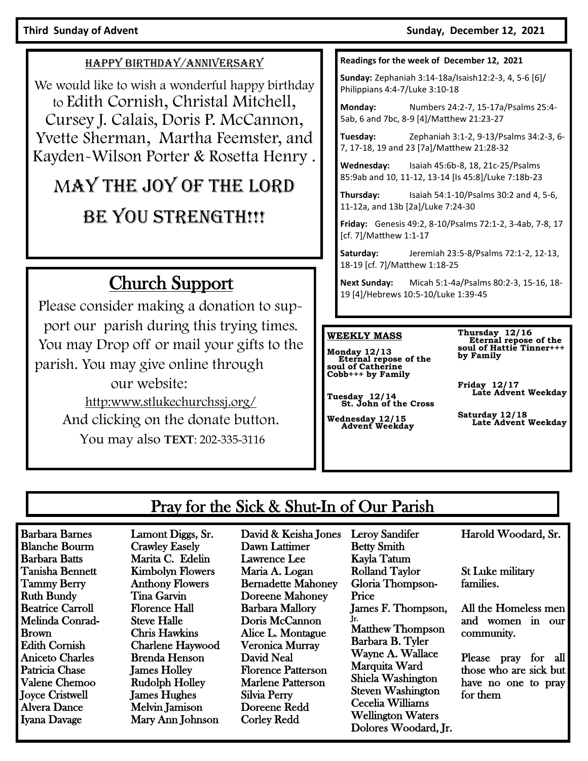#### Third Sunday of Advent **Sunday of Advent** Sunday, December 12, 2021

#### HAPPY BIRTHDAY/ANNIVERSARY

We would like to wish a wonderful happy birthday to Edith Cornish, Christal Mitchell, Cursey J. Calais, Doris P. McCannon, Yvette Sherman, Martha Feemster, and Kayden-Wilson Porter & Rosetta Henry .

# MAY THE JOY OF THE LORD BE YOU STRENGTH!!!

## Church Support

Please consider making a donation to support our parish during this trying times. You may Drop off or mail your gifts to the parish. You may give online through our website: [http:www.stlukechurchssj.org/](http://www.stlukechurchssj.org/) And clicking on the donate button. You may also **TEXT**: 202-335-3116

**Readings for the week of December 12, 2021**

**Sunday:** Zephaniah 3:14-18a/Isaish12:2-3, 4, 5-6 [6]/ Philippians 4:4-7/Luke 3:10-18

**Monday:** Numbers 24:2-7, 15-17a/Psalms 25:4- 5ab, 6 and 7bc, 8-9 [4]/Matthew 21:23-27

**Tuesday:** Zephaniah 3:1-2, 9-13/Psalms 34:2-3, 6- 7, 17-18, 19 and 23 [7a]/Matthew 21:28-32

**Wednesday:** Isaiah 45:6b-8, 18, 21c-25/Psalms 85:9ab and 10, 11-12, 13-14 [Is 45:8]/Luke 7:18b-23

**Thursday:** Isaiah 54:1-10/Psalms 30:2 and 4, 5-6, 11-12a, and 13b [2a]/Luke 7:24-30

**Friday:** Genesis 49:2, 8-10/Psalms 72:1-2, 3-4ab, 7-8, 17 [cf. 7]/Matthew 1:1-17

**Saturday:** Jeremiah 23:5-8/Psalms 72:1-2, 12-13, 18-19 [cf. 7]/Matthew 1:18-25

**Next Sunday:** Micah 5:1-4a/Psalms 80:2-3, 15-16, 18- 19 [4]/Hebrews 10:5-10/Luke 1:39-45

#### **WEEKLY MASS**

**Monday 12/13 Eternal repose of the soul of Catherine Cobb+++ by Family** 

**Thursday 12/16 Eternal repose of the soul of Hattie Tinner+++ by Family**

**Friday 12/17 Late Advent Weekday**

**Tuesday 12/14 St. John of the Cross**

Leroy Sandifer

**Wednesday 12/15 Advent Weekday**

**Saturday 12/18 Late Advent Weekday**

## Pray for the Sick & Shut-In of Our Parish

Barbara Barnes Blanche Bourm Barbara Batts Tanisha Bennett Tammy Berry Ruth Bundy Beatrice Carroll Melinda Conrad-Brown Edith Cornish Aniceto Charles Patricia Chase Valene Chemoo Joyce Cristwell Alvera Dance Iyana Davage

Lamont Diggs, Sr. Crawley Easely Marita C. Edelin Kimbolyn Flowers Anthony Flowers Tina Garvin Florence Hall Steve Halle Chris Hawkins Charlene Haywood Brenda Henson James Holley Rudolph Holley James Hughes Melvin Jamison Mary Ann Johnson

David & Keisha Jones Dawn Lattimer Lawrence Lee Maria A. Logan Bernadette Mahoney Doreene Mahoney Barbara Mallory Doris McCannon Alice L. Montague Veronica Murray David Neal Florence Patterson Marlene Patterson Silvia Perry Doreene Redd Corley Redd

Betty Smith Kayla Tatum Rolland Taylor Gloria Thompson-Price James F. Thompson, Jr. Matthew Thompson Barbara B. Tyler Wayne A. Wallace Marquita Ward Shiela Washington Steven Washington Cecelia Williams Wellington Waters Dolores Woodard, Jr. Harold Woodard, Sr.

St Luke military families.

All the Homeless men and women in our community.

Please pray for all those who are sick but have no one to pray for them